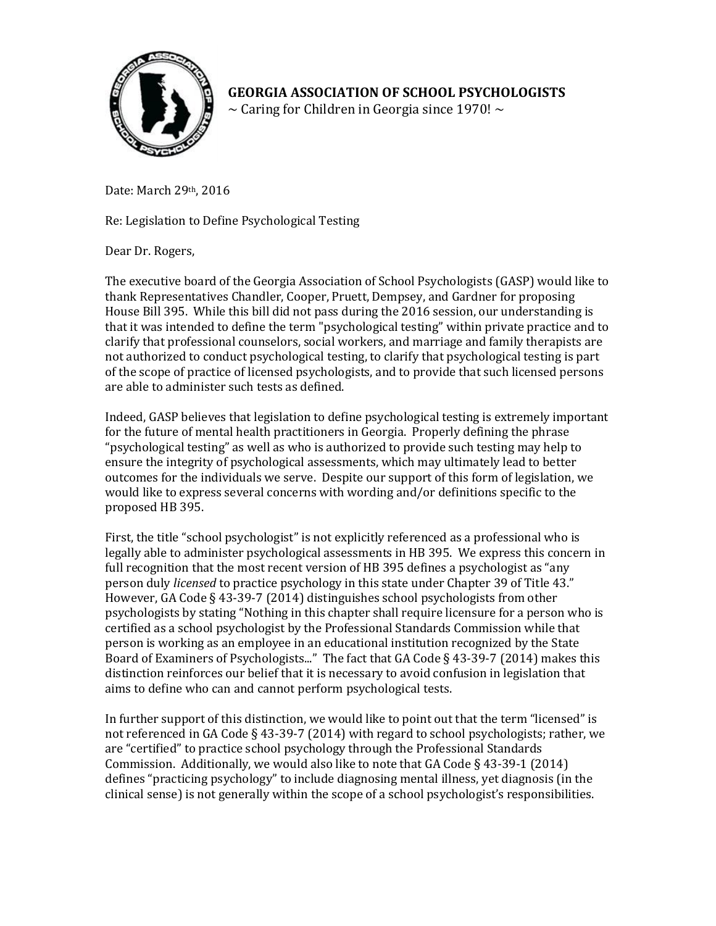

**GEORGIA ASSOCIATION OF SCHOOL PSYCHOLOGISTS**  $\sim$  Caring for Children in Georgia since 1970!  $\sim$ 

Date: March 29th, 2016

Re: Legislation to Define Psychological Testing

Dear Dr. Rogers,

The executive board of the Georgia Association of School Psychologists (GASP) would like to thank Representatives Chandler, Cooper, Pruett, Dempsey, and Gardner for proposing House Bill 395. While this bill did not pass during the 2016 session, our understanding is that it was intended to define the term "psychological testing" within private practice and to clarify that professional counselors, social workers, and marriage and family therapists are not authorized to conduct psychological testing, to clarify that psychological testing is part of the scope of practice of licensed psychologists, and to provide that such licensed persons are able to administer such tests as defined.

Indeed, GASP believes that legislation to define psychological testing is extremely important for the future of mental health practitioners in Georgia. Properly defining the phrase "psychological testing" as well as who is authorized to provide such testing may help to ensure the integrity of psychological assessments, which may ultimately lead to better outcomes for the individuals we serve. Despite our support of this form of legislation, we would like to express several concerns with wording and/or definitions specific to the proposed HB 395.

First, the title "school psychologist" is not explicitly referenced as a professional who is legally able to administer psychological assessments in HB 395. We express this concern in full recognition that the most recent version of HB 395 defines a psychologist as "any person duly *licensed* to practice psychology in this state under Chapter 39 of Title 43." However, GA Code § 43-39-7 (2014) distinguishes school psychologists from other psychologists by stating "Nothing in this chapter shall require licensure for a person who is certified as a school psychologist by the Professional Standards Commission while that person is working as an employee in an educational institution recognized by the State Board of Examiners of Psychologists..." The fact that GA Code § 43-39-7 (2014) makes this distinction reinforces our belief that it is necessary to avoid confusion in legislation that aims to define who can and cannot perform psychological tests.

In further support of this distinction, we would like to point out that the term "licensed" is not referenced in GA Code § 43-39-7 (2014) with regard to school psychologists; rather, we are "certified" to practice school psychology through the Professional Standards Commission. Additionally, we would also like to note tha[t GA Code § 43-39-1 \(2014\)](http://law.justia.com/citations.html)  defines "practicing psychology" to include diagnosing mental illness, yet diagnosis (in the clinical sense) is not generally within the scope of a school psychologist's responsibilities.